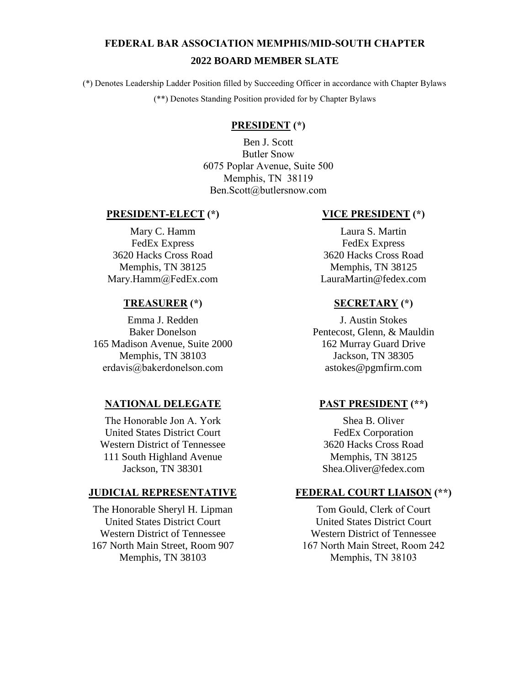# **FEDERAL BAR ASSOCIATION MEMPHIS/MID-SOUTH CHAPTER 2022 BOARD MEMBER SLATE**

(\*) Denotes Leadership Ladder Position filled by Succeeding Officer in accordance with Chapter Bylaws (\*\*) Denotes Standing Position provided for by Chapter Bylaws

# **PRESIDENT (\*)**

Ben J. Scott Butler Snow 6075 Poplar Avenue, Suite 500 Memphis, TN 38119 Ben.Scott@butlersnow.com

#### **PRESIDENT-ELECT (\*)**

Mary C. Hamm FedEx Express 3620 Hacks Cross Road Memphis, TN 38125 Mary.Hamm@FedEx.com

#### **TREASURER (\*)**

Emma J. Redden Baker Donelson 165 Madison Avenue, Suite 2000 Memphis, TN 38103 erdavis@bakerdonelson.com

# **NATIONAL DELEGATE**

The Honorable Jon A. York United States District Court Western District of Tennessee 111 South Highland Avenue Jackson, TN 38301

#### **JUDICIAL REPRESENTATIVE**

The Honorable Sheryl H. Lipman United States District Court Western District of Tennessee 167 North Main Street, Room 907 Memphis, TN 38103

# **VICE PRESIDENT (\*)**

Laura S. Martin FedEx Express 3620 Hacks Cross Road Memphis, TN 38125 LauraMartin@fedex.com

#### **SECRETARY (\*)**

J. Austin Stokes Pentecost, Glenn, & Mauldin 162 Murray Guard Drive Jackson, TN 38305 astokes@pgmfirm.com

# **PAST PRESIDENT (\*\*)**

Shea B. Oliver FedEx Corporation 3620 Hacks Cross Road Memphis, TN 38125 Shea.Oliver@fedex.com

### **FEDERAL COURT LIAISON (\*\*)**

Tom Gould, Clerk of Court United States District Court Western District of Tennessee 167 North Main Street, Room 242 Memphis, TN 38103